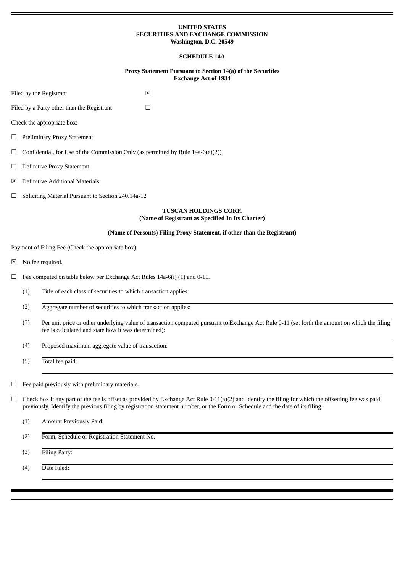### **UNITED STATES SECURITIES AND EXCHANGE COMMISSION Washington, D.C. 20549**

# **SCHEDULE 14A**

## **Proxy Statement Pursuant to Section 14(a) of the Securities Exchange Act of 1934**

| Filed by the Registrant                         |                                                                                 |                                                                 | ⊠                                                                                                                                             |  |
|-------------------------------------------------|---------------------------------------------------------------------------------|-----------------------------------------------------------------|-----------------------------------------------------------------------------------------------------------------------------------------------|--|
| Filed by a Party other than the Registrant<br>П |                                                                                 |                                                                 |                                                                                                                                               |  |
|                                                 |                                                                                 | Check the appropriate box:                                      |                                                                                                                                               |  |
|                                                 | □ Preliminary Proxy Statement                                                   |                                                                 |                                                                                                                                               |  |
| $\Box$                                          | Confidential, for Use of the Commission Only (as permitted by Rule 14a-6(e)(2)) |                                                                 |                                                                                                                                               |  |
| $\Box$                                          | <b>Definitive Proxy Statement</b>                                               |                                                                 |                                                                                                                                               |  |
| ⊠                                               | <b>Definitive Additional Materials</b>                                          |                                                                 |                                                                                                                                               |  |
| $\Box$                                          | Soliciting Material Pursuant to Section 240.14a-12                              |                                                                 |                                                                                                                                               |  |
|                                                 |                                                                                 |                                                                 | <b>TUSCAN HOLDINGS CORP.</b><br>(Name of Registrant as Specified In Its Charter)                                                              |  |
|                                                 |                                                                                 |                                                                 | (Name of Person(s) Filing Proxy Statement, if other than the Registrant)                                                                      |  |
|                                                 |                                                                                 | Payment of Filing Fee (Check the appropriate box):              |                                                                                                                                               |  |
| ⊠                                               |                                                                                 | No fee required.                                                |                                                                                                                                               |  |
| $\Box$                                          | Fee computed on table below per Exchange Act Rules 14a-6(i) (1) and 0-11.       |                                                                 |                                                                                                                                               |  |
|                                                 | (1)                                                                             | Title of each class of securities to which transaction applies: |                                                                                                                                               |  |
|                                                 | (2)                                                                             | Aggregate number of securities to which transaction applies:    |                                                                                                                                               |  |
|                                                 | (3)                                                                             | fee is calculated and state how it was determined):             | Per unit price or other underlying value of transaction computed pursuant to Exchange Act Rule 0-11 (set forth the amount on which the filing |  |
|                                                 | (4)                                                                             | Proposed maximum aggregate value of transaction:                |                                                                                                                                               |  |
|                                                 | (5)                                                                             | Total fee paid:                                                 |                                                                                                                                               |  |
| $\Box$                                          |                                                                                 | Fee paid previously with preliminary materials.                 |                                                                                                                                               |  |

 $\Box$  Check box if any part of the fee is offset as provided by Exchange Act Rule 0-11(a)(2) and identify the filing for which the offsetting fee was paid previously. Identify the previous filing by registration statement number, or the Form or Schedule and the date of its filing.

| (1) | Amount Previously Paid: |
|-----|-------------------------|
|-----|-------------------------|

(2) Form, Schedule or Registration Statement No.

(3) Filing Party:

(4) Date Filed: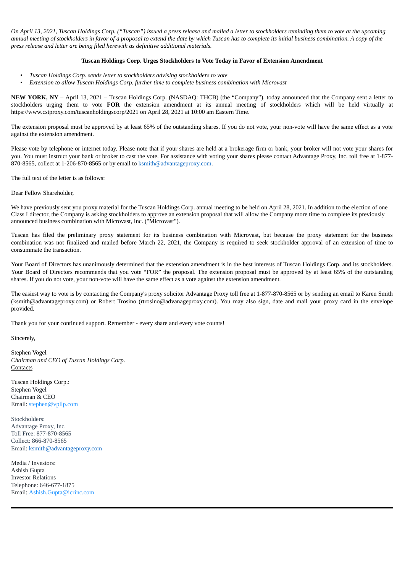On April 13, 2021, Tuscan Holdings Corp. ("Tuscan") issued a press release and mailed a letter to stockholders reminding them to vote at the upcoming annual meeting of stockholders in favor of a proposal to extend the date by which Tuscan has to complete its initial business combination. A copy of the *press release and letter are being filed herewith as definitive additional materials.*

#### **Tuscan Holdings Corp. Urges Stockholders to Vote Today in Favor of Extension Amendment**

- *Tuscan Holdings Corp. sends letter to stockholders advising stockholders to vote*
- *Extension to allow Tuscan Holdings Corp. further time to complete business combination with Microvast*

**NEW YORK, NY** – April 13, 2021 – Tuscan Holdings Corp. (NASDAQ: THCB) (the "Company"), today announced that the Company sent a letter to stockholders urging them to vote **FOR** the extension amendment at its annual meeting of stockholders which will be held virtually at https://www.cstproxy.com/tuscanholdingscorp/2021 on April 28, 2021 at 10:00 am Eastern Time.

The extension proposal must be approved by at least 65% of the outstanding shares. If you do not vote, your non-vote will have the same effect as a vote against the extension amendment.

Please vote by telephone or internet today. Please note that if your shares are held at a brokerage firm or bank, your broker will not vote your shares for you. You must instruct your bank or broker to cast the vote. For assistance with voting your shares please contact Advantage Proxy, Inc. toll free at 1-877- 870-8565, collect at 1-206-870-8565 or by email to  $k<sub>smith</sub>(a<sub>advantage proxy.com</sub>$ .

The full text of the letter is as follows:

Dear Fellow Shareholder,

We have previously sent you proxy material for the Tuscan Holdings Corp. annual meeting to be held on April 28, 2021. In addition to the election of one Class I director, the Company is asking stockholders to approve an extension proposal that will allow the Company more time to complete its previously announced business combination with Microvast, Inc. ("Microvast").

Tuscan has filed the preliminary proxy statement for its business combination with Microvast, but because the proxy statement for the business combination was not finalized and mailed before March 22, 2021, the Company is required to seek stockholder approval of an extension of time to consummate the transaction.

Your Board of Directors has unanimously determined that the extension amendment is in the best interests of Tuscan Holdings Corp. and its stockholders. Your Board of Directors recommends that you vote "FOR" the proposal. The extension proposal must be approved by at least 65% of the outstanding shares. If you do not vote, your non-vote will have the same effect as a vote against the extension amendment.

The easiest way to vote is by contacting the Company's proxy solicitor Advantage Proxy toll free at 1-877-870-8565 or by sending an email to Karen Smith (ksmith@advantageproxy.com) or Robert Trosino (rtrosino@advanageproxy.com). You may also sign, date and mail your proxy card in the envelope provided.

Thank you for your continued support. Remember - every share and every vote counts!

Sincerely,

Stephen Vogel *Chairman and CEO of Tuscan Holdings Corp.* **Contacts** 

Tuscan Holdings Corp.: Stephen Vogel Chairman & CEO Email: stephen@vpllp.com

Stockholders: Advantage Proxy, Inc. Toll Free: 877-870-8565 Collect: 866-870-8565 Email: ksmith@advantageproxy.com

Media / Investors: Ashish Gupta Investor Relations Telephone: 646-677-1875 Email: Ashish.Gupta@icrinc.com